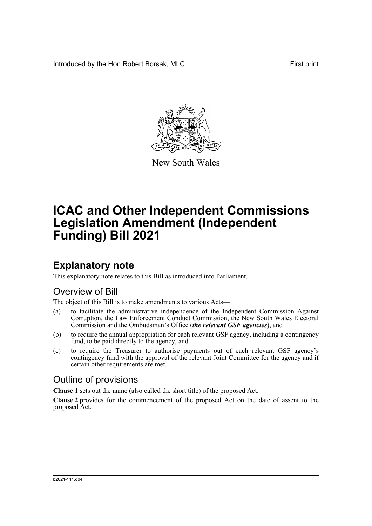Introduced by the Hon Robert Borsak, MLC First print



New South Wales

# **ICAC and Other Independent Commissions Legislation Amendment (Independent Funding) Bill 2021**

## **Explanatory note**

This explanatory note relates to this Bill as introduced into Parliament.

## Overview of Bill

The object of this Bill is to make amendments to various Acts—

- (a) to facilitate the administrative independence of the Independent Commission Against Corruption, the Law Enforcement Conduct Commission, the New South Wales Electoral Commission and the Ombudsman's Office (*the relevant GSF agencies*), and
- (b) to require the annual appropriation for each relevant GSF agency, including a contingency fund, to be paid directly to the agency, and
- (c) to require the Treasurer to authorise payments out of each relevant GSF agency's contingency fund with the approval of the relevant Joint Committee for the agency and if certain other requirements are met.

## Outline of provisions

**Clause 1** sets out the name (also called the short title) of the proposed Act.

**Clause 2** provides for the commencement of the proposed Act on the date of assent to the proposed Act.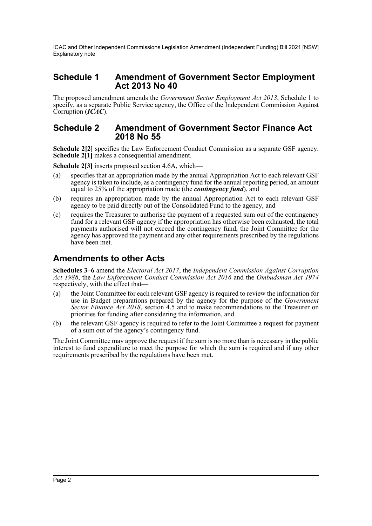ICAC and Other Independent Commissions Legislation Amendment (Independent Funding) Bill 2021 [NSW] Explanatory note

### **Schedule 1 Amendment of Government Sector Employment Act 2013 No 40**

The proposed amendment amends the *Government Sector Employment Act 2013*, Schedule 1 to specify, as a separate Public Service agency, the Office of the Independent Commission Against Corruption (*ICAC*).

#### **Schedule 2 Amendment of Government Sector Finance Act 2018 No 55**

**Schedule 2[2]** specifies the Law Enforcement Conduct Commission as a separate GSF agency. **Schedule 2<sup>[1]</sup>** makes a consequential amendment.

**Schedule 2[3]** inserts proposed section 4.6A, which—

- (a) specifies that an appropriation made by the annual Appropriation Act to each relevant GSF agency is taken to include, as a contingency fund for the annual reporting period, an amount equal to 25% of the appropriation made (the *contingency fund*), and
- (b) requires an appropriation made by the annual Appropriation Act to each relevant GSF agency to be paid directly out of the Consolidated Fund to the agency, and
- (c) requires the Treasurer to authorise the payment of a requested sum out of the contingency fund for a relevant GSF agency if the appropriation has otherwise been exhausted, the total payments authorised will not exceed the contingency fund, the Joint Committee for the agency has approved the payment and any other requirements prescribed by the regulations have been met.

### **Amendments to other Acts**

**Schedules 3–6** amend the *Electoral Act 2017*, the *Independent Commission Against Corruption Act 1988*, the *Law Enforcement Conduct Commission Act 2016* and the *Ombudsman Act 1974* respectively, with the effect that—

- (a) the Joint Committee for each relevant GSF agency is required to review the information for use in Budget preparations prepared by the agency for the purpose of the *Government Sector Finance Act 2018*, section 4.5 and to make recommendations to the Treasurer on priorities for funding after considering the information, and
- (b) the relevant GSF agency is required to refer to the Joint Committee a request for payment of a sum out of the agency's contingency fund.

The Joint Committee may approve the request if the sum is no more than is necessary in the public interest to fund expenditure to meet the purpose for which the sum is required and if any other requirements prescribed by the regulations have been met.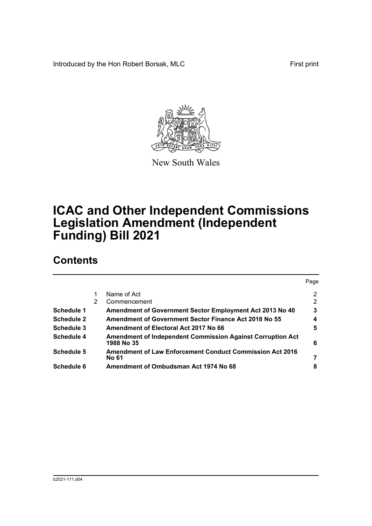Introduced by the Hon Robert Borsak, MLC First print



New South Wales

# **ICAC and Other Independent Commissions Legislation Amendment (Independent Funding) Bill 2021**

## **Contents**

|                   |   |                                                                                 | Page                 |
|-------------------|---|---------------------------------------------------------------------------------|----------------------|
|                   |   | Name of Act                                                                     | $\mathbf{2}^{\circ}$ |
|                   | 2 | Commencement                                                                    | 2                    |
| Schedule 1        |   | Amendment of Government Sector Employment Act 2013 No 40                        | 3                    |
| <b>Schedule 2</b> |   | <b>Amendment of Government Sector Finance Act 2018 No 55</b>                    | 4                    |
| Schedule 3        |   | Amendment of Electoral Act 2017 No 66                                           | 5                    |
| <b>Schedule 4</b> |   | <b>Amendment of Independent Commission Against Corruption Act</b><br>1988 No 35 | 6                    |
| <b>Schedule 5</b> |   | <b>Amendment of Law Enforcement Conduct Commission Act 2016</b><br><b>No 61</b> | 7                    |
| Schedule 6        |   | Amendment of Ombudsman Act 1974 No 68                                           | 8                    |
|                   |   |                                                                                 |                      |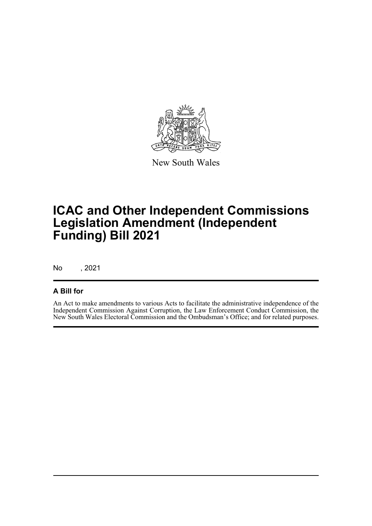

New South Wales

# **ICAC and Other Independent Commissions Legislation Amendment (Independent Funding) Bill 2021**

No , 2021

### **A Bill for**

An Act to make amendments to various Acts to facilitate the administrative independence of the Independent Commission Against Corruption, the Law Enforcement Conduct Commission, the New South Wales Electoral Commission and the Ombudsman's Office; and for related purposes.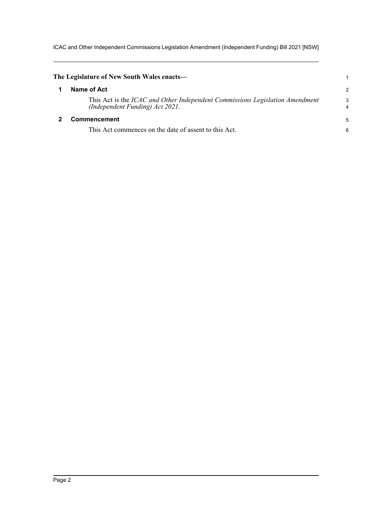ICAC and Other Independent Commissions Legislation Amendment (Independent Funding) Bill 2021 [NSW]

<span id="page-4-1"></span><span id="page-4-0"></span>

| The Legislature of New South Wales enacts—                                                                      |        |
|-----------------------------------------------------------------------------------------------------------------|--------|
| Name of Act                                                                                                     | 2      |
| This Act is the ICAC and Other Independent Commissions Legislation Amendment<br>(Independent Funding) Act 2021. | 3<br>4 |
| Commencement                                                                                                    | 5      |
| This Act commences on the date of assent to this Act.                                                           | 6      |
|                                                                                                                 |        |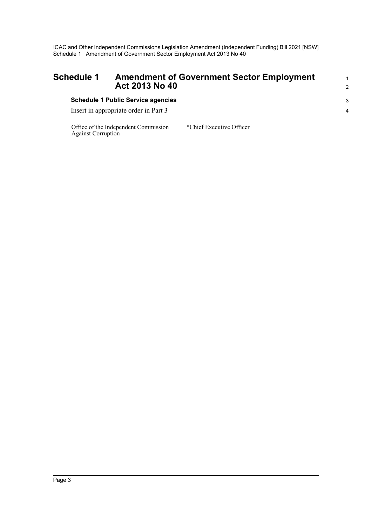ICAC and Other Independent Commissions Legislation Amendment (Independent Funding) Bill 2021 [NSW] Schedule 1 Amendment of Government Sector Employment Act 2013 No 40

<span id="page-5-0"></span>

| <b>Schedule 1</b> | <b>Amendment of Government Sector Employment</b><br>Act 2013 No 40 | $\mathcal{P}$ |
|-------------------|--------------------------------------------------------------------|---------------|
|                   | <b>Schedule 1 Public Service agencies</b>                          | -3            |
|                   | Insert in appropriate order in Part 3—                             |               |

Office of the Independent Commission Against Corruption

\*Chief Executive Officer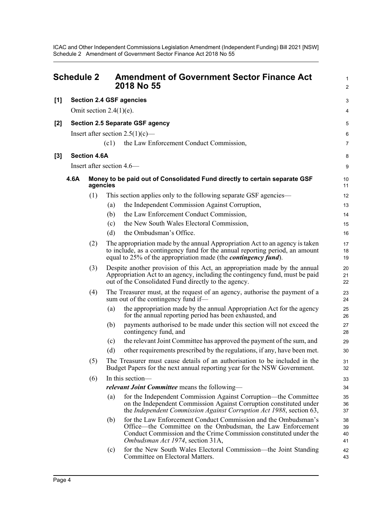ICAC and Other Independent Commissions Legislation Amendment (Independent Funding) Bill 2021 [NSW] Schedule 2 Amendment of Government Sector Finance Act 2018 No 55

<span id="page-6-0"></span>

|     | <b>Schedule 2</b> |                     | <b>Amendment of Government Sector Finance Act</b><br>2018 No 55                                                                                                                                                                              | $\mathbf{1}$<br>$\overline{2}$ |
|-----|-------------------|---------------------|----------------------------------------------------------------------------------------------------------------------------------------------------------------------------------------------------------------------------------------------|--------------------------------|
| [1] |                   |                     | <b>Section 2.4 GSF agencies</b>                                                                                                                                                                                                              | 3                              |
|     |                   |                     | Omit section $2.4(1)(e)$ .                                                                                                                                                                                                                   | 4                              |
| [2] |                   |                     | <b>Section 2.5 Separate GSF agency</b>                                                                                                                                                                                                       | 5                              |
|     |                   |                     | Insert after section $2.5(1)(c)$ —                                                                                                                                                                                                           | 6                              |
|     |                   |                     | the Law Enforcement Conduct Commission,<br>(c1)                                                                                                                                                                                              | $\overline{7}$                 |
| [3] |                   | <b>Section 4.6A</b> |                                                                                                                                                                                                                                              | 8                              |
|     |                   |                     | Insert after section 4.6—                                                                                                                                                                                                                    | 9                              |
|     | 4.6A              | agencies            | Money to be paid out of Consolidated Fund directly to certain separate GSF                                                                                                                                                                   | 10<br>11                       |
|     |                   | (1)                 | This section applies only to the following separate GSF agencies—                                                                                                                                                                            | 12                             |
|     |                   |                     | the Independent Commission Against Corruption,<br>(a)                                                                                                                                                                                        | 13                             |
|     |                   |                     | the Law Enforcement Conduct Commission,<br>(b)                                                                                                                                                                                               | 14                             |
|     |                   |                     | the New South Wales Electoral Commission,<br>(c)                                                                                                                                                                                             | 15                             |
|     |                   |                     | the Ombudsman's Office.<br>(d)                                                                                                                                                                                                               | 16                             |
|     |                   | (2)                 | The appropriation made by the annual Appropriation Act to an agency is taken<br>to include, as a contingency fund for the annual reporting period, an amount<br>equal to 25% of the appropriation made (the <i>contingency fund</i> ).       | 17<br>18<br>19                 |
|     |                   | (3)                 | Despite another provision of this Act, an appropriation made by the annual<br>Appropriation Act to an agency, including the contingency fund, must be paid<br>out of the Consolidated Fund directly to the agency.                           | 20<br>21<br>22                 |
|     |                   | (4)                 | The Treasurer must, at the request of an agency, authorise the payment of a<br>sum out of the contingency fund if—                                                                                                                           | 23<br>24                       |
|     |                   |                     | the appropriation made by the annual Appropriation Act for the agency<br>(a)<br>for the annual reporting period has been exhausted, and                                                                                                      | 25<br>26                       |
|     |                   |                     | payments authorised to be made under this section will not exceed the<br>(b)<br>contingency fund, and                                                                                                                                        | 27<br>28                       |
|     |                   |                     | the relevant Joint Committee has approved the payment of the sum, and<br>(c)                                                                                                                                                                 | 29                             |
|     |                   |                     | other requirements prescribed by the regulations, if any, have been met.<br>(d)                                                                                                                                                              | 30                             |
|     |                   | (5)                 | The Treasurer must cause details of an authorisation to be included in the<br>Budget Papers for the next annual reporting year for the NSW Government.                                                                                       | 31<br>32                       |
|     |                   | (6)                 | In this section-                                                                                                                                                                                                                             | 33                             |
|     |                   |                     | <i>relevant Joint Committee</i> means the following—                                                                                                                                                                                         | 34                             |
|     |                   |                     | for the Independent Commission Against Corruption—the Committee<br>(a)<br>on the Independent Commission Against Corruption constituted under<br>the Independent Commission Against Corruption Act 1988, section 63,                          | 35<br>36<br>37                 |
|     |                   |                     | for the Law Enforcement Conduct Commission and the Ombudsman's<br>(b)<br>Office—the Committee on the Ombudsman, the Law Enforcement<br>Conduct Commission and the Crime Commission constituted under the<br>Ombudsman Act 1974, section 31A, | 38<br>39<br>40<br>41           |
|     |                   |                     | for the New South Wales Electoral Commission—the Joint Standing<br>(c)<br>Committee on Electoral Matters.                                                                                                                                    | 42<br>43                       |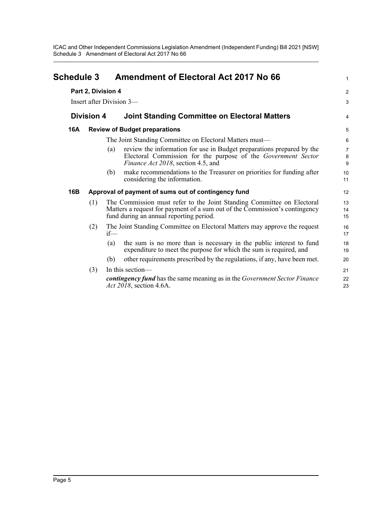ICAC and Other Independent Commissions Legislation Amendment (Independent Funding) Bill 2021 [NSW] Schedule 3 Amendment of Electoral Act 2017 No 66

<span id="page-7-0"></span>

| <b>Schedule 3</b> |                    | <b>Amendment of Electoral Act 2017 No 66</b>                                                                                                                                                    | 1                       |
|-------------------|--------------------|-------------------------------------------------------------------------------------------------------------------------------------------------------------------------------------------------|-------------------------|
|                   | Part 2, Division 4 |                                                                                                                                                                                                 | $\overline{\mathbf{c}}$ |
|                   |                    | Insert after Division 3-                                                                                                                                                                        | 3                       |
|                   | <b>Division 4</b>  | <b>Joint Standing Committee on Electoral Matters</b>                                                                                                                                            | 4                       |
| 16A               |                    | <b>Review of Budget preparations</b>                                                                                                                                                            | 5                       |
|                   |                    | The Joint Standing Committee on Electoral Matters must—                                                                                                                                         | 6                       |
|                   |                    | review the information for use in Budget preparations prepared by the<br>(a)<br>Electoral Commission for the purpose of the Government Sector<br>Finance Act 2018, section 4.5, and             | 7<br>8<br>9             |
|                   |                    | make recommendations to the Treasurer on priorities for funding after<br>(b)<br>considering the information.                                                                                    | 10<br>11                |
| 16B               |                    | Approval of payment of sums out of contingency fund                                                                                                                                             | 12                      |
|                   | (1)                | The Commission must refer to the Joint Standing Committee on Electoral<br>Matters a request for payment of a sum out of the Commission's contingency<br>fund during an annual reporting period. | 13<br>14<br>15          |
|                   | (2)                | The Joint Standing Committee on Electoral Matters may approve the request<br>$if$ —                                                                                                             | 16<br>17                |
|                   |                    | the sum is no more than is necessary in the public interest to fund<br>(a)<br>expenditure to meet the purpose for which the sum is required, and                                                | 18<br>19                |
|                   |                    | other requirements prescribed by the regulations, if any, have been met.<br>(b)                                                                                                                 | 20                      |
|                   | (3)                | In this section-<br>contingency fund has the same meaning as in the Government Sector Finance<br><i>Act 2018</i> , section 4.6A.                                                                | 21<br>22<br>23          |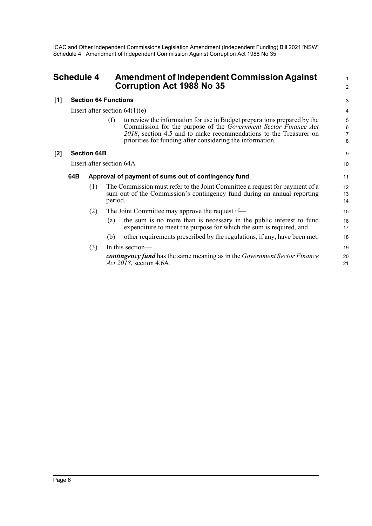ICAC and Other Independent Commissions Legislation Amendment (Independent Funding) Bill 2021 [NSW] Schedule 4 Amendment of Independent Commission Against Corruption Act 1988 No 35

<span id="page-8-0"></span>

| <b>Schedule 4</b> | <b>Amendment of Independent Commission Against</b> |  |
|-------------------|----------------------------------------------------|--|
|                   | <b>Corruption Act 1988 No 35</b>                   |  |

#### **[1] Section 64 Functions**

Insert after section  $64(1)(e)$ —

(f) to review the information for use in Budget preparations prepared by the Commission for the purpose of the *Government Sector Finance Act 2018*, section 4.5 and to make recommendations to the Treasurer on priorities for funding after considering the information.

1 2

9 10

#### **[2] Section 64B**

Insert after section 64A—

#### **64B Approval of payment of sums out of contingency fund**

- (1) The Commission must refer to the Joint Committee a request for payment of a sum out of the Commission's contingency fund during an annual reporting period.
- (2) The Joint Committee may approve the request if—
	- (a) the sum is no more than is necessary in the public interest to fund expenditure to meet the purpose for which the sum is required, and
	- (b) other requirements prescribed by the regulations, if any, have been met.

| $(3)$ In this section—                                                                                      | 19 |
|-------------------------------------------------------------------------------------------------------------|----|
| <b>contingency fund</b> has the same meaning as in the Government Sector Finance<br>Act 2018, section 4.6A. | 20 |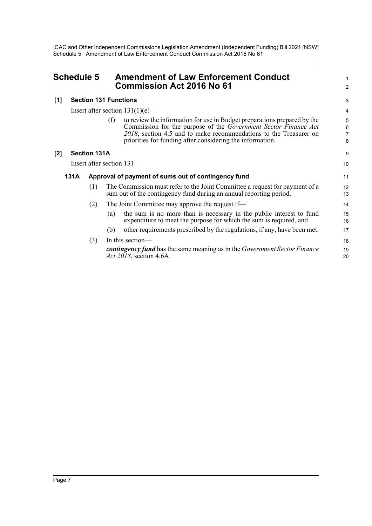ICAC and Other Independent Commissions Legislation Amendment (Independent Funding) Bill 2021 [NSW] Schedule 5 Amendment of Law Enforcement Conduct Commission Act 2016 No 61

<span id="page-9-0"></span>

| <b>Schedule 5</b> |      |                     | <b>Amendment of Law Enforcement Conduct</b><br><b>Commission Act 2016 No 61</b>                                                                                                                                                                                                      | 1<br>$\overline{a}$           |
|-------------------|------|---------------------|--------------------------------------------------------------------------------------------------------------------------------------------------------------------------------------------------------------------------------------------------------------------------------------|-------------------------------|
| [1]               |      |                     | <b>Section 131 Functions</b>                                                                                                                                                                                                                                                         | 3                             |
|                   |      |                     | Insert after section $131(1)(e)$ —                                                                                                                                                                                                                                                   | 4                             |
|                   |      |                     | to review the information for use in Budget preparations prepared by the<br>(f)<br>Commission for the purpose of the Government Sector Finance Act<br>2018, section 4.5 and to make recommendations to the Treasurer on<br>priorities for funding after considering the information. | 5<br>$\overline{6}$<br>7<br>8 |
| [2]               |      | <b>Section 131A</b> |                                                                                                                                                                                                                                                                                      | 9                             |
|                   |      |                     | Insert after section 131-                                                                                                                                                                                                                                                            | 10                            |
|                   | 131A |                     | Approval of payment of sums out of contingency fund                                                                                                                                                                                                                                  | 11                            |
|                   |      | (1)                 | The Commission must refer to the Joint Committee a request for payment of a<br>sum out of the contingency fund during an annual reporting period.                                                                                                                                    | 12<br>13                      |
|                   |      | (2)                 | The Joint Committee may approve the request if-                                                                                                                                                                                                                                      | 14                            |
|                   |      |                     | the sum is no more than is necessary in the public interest to fund<br>(a)<br>expenditure to meet the purpose for which the sum is required, and                                                                                                                                     | 15<br>16                      |
|                   |      |                     | other requirements prescribed by the regulations, if any, have been met.<br>(b)                                                                                                                                                                                                      | 17                            |
|                   |      | (3)                 | In this section-<br><b>contingency fund</b> has the same meaning as in the Government Sector Finance<br>Act 2018, section 4.6A.                                                                                                                                                      | 18<br>19<br>20                |